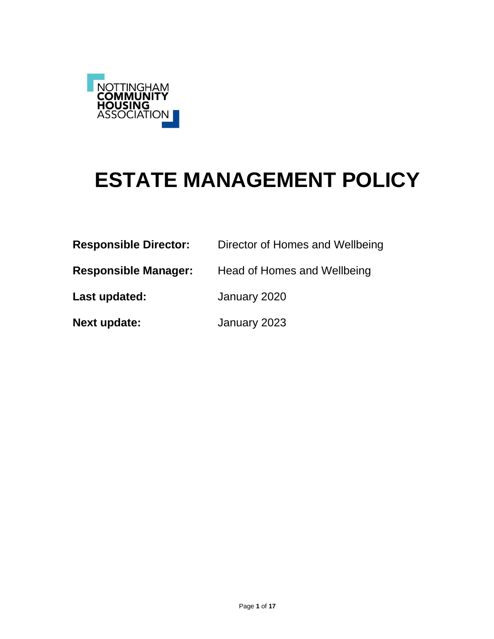

# **ESTATE MANAGEMENT POLICY**

| <b>Responsible Director:</b> | Director of Homes and Wellbeing |
|------------------------------|---------------------------------|
| <b>Responsible Manager:</b>  | Head of Homes and Wellbeing     |
| Last updated:                | January 2020                    |
| <b>Next update:</b>          | January 2023                    |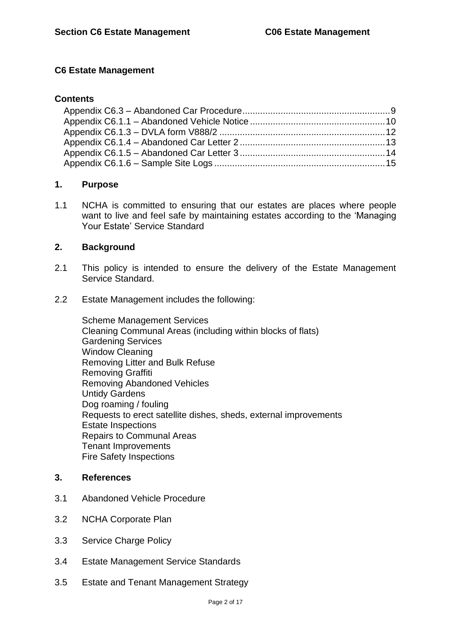#### **C6 Estate Management**

#### **Contents**

#### **1. Purpose**

1.1 NCHA is committed to ensuring that our estates are places where people want to live and feel safe by maintaining estates according to the 'Managing Your Estate' Service Standard

#### **2. Background**

- 2.1 This policy is intended to ensure the delivery of the Estate Management Service Standard.
- 2.2 Estate Management includes the following:

Scheme Management Services Cleaning Communal Areas (including within blocks of flats) Gardening Services Window Cleaning Removing Litter and Bulk Refuse Removing Graffiti Removing Abandoned Vehicles Untidy Gardens Dog roaming / fouling Requests to erect satellite dishes, sheds, external improvements Estate Inspections Repairs to Communal Areas Tenant Improvements Fire Safety Inspections

#### **3. References**

- 3.1 Abandoned Vehicle Procedure
- 3.2 NCHA Corporate Plan
- 3.3 Service Charge Policy
- 3.4 Estate Management Service Standards
- 3.5 Estate and Tenant Management Strategy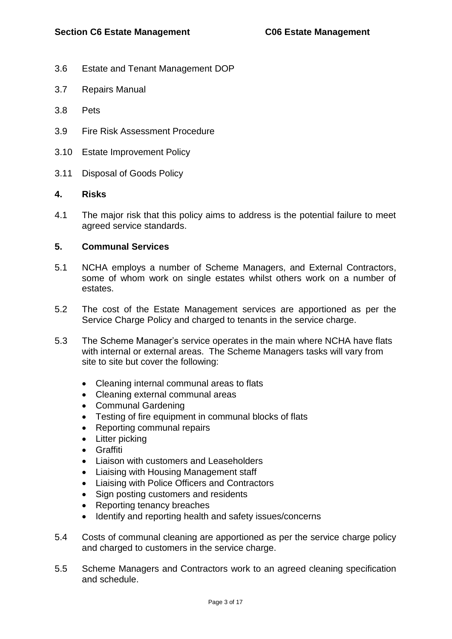- 3.6 Estate and Tenant Management DOP
- 3.7 Repairs Manual
- 3.8 Pets
- 3.9 Fire Risk Assessment Procedure
- 3.10 Estate Improvement Policy
- 3.11 Disposal of Goods Policy

#### **4. Risks**

4.1 The major risk that this policy aims to address is the potential failure to meet agreed service standards.

#### **5. Communal Services**

- 5.1 NCHA employs a number of Scheme Managers, and External Contractors, some of whom work on single estates whilst others work on a number of estates.
- 5.2 The cost of the Estate Management services are apportioned as per the Service Charge Policy and charged to tenants in the service charge.
- 5.3 The Scheme Manager's service operates in the main where NCHA have flats with internal or external areas. The Scheme Managers tasks will vary from site to site but cover the following:
	- Cleaning internal communal areas to flats
	- Cleaning external communal areas
	- Communal Gardening
	- Testing of fire equipment in communal blocks of flats
	- Reporting communal repairs
	- Litter picking
	- Graffiti
	- Liaison with customers and Leaseholders
	- Liaising with Housing Management staff
	- Liaising with Police Officers and Contractors
	- Sign posting customers and residents
	- Reporting tenancy breaches
	- Identify and reporting health and safety issues/concerns
- 5.4 Costs of communal cleaning are apportioned as per the service charge policy and charged to customers in the service charge.
- 5.5 Scheme Managers and Contractors work to an agreed cleaning specification and schedule.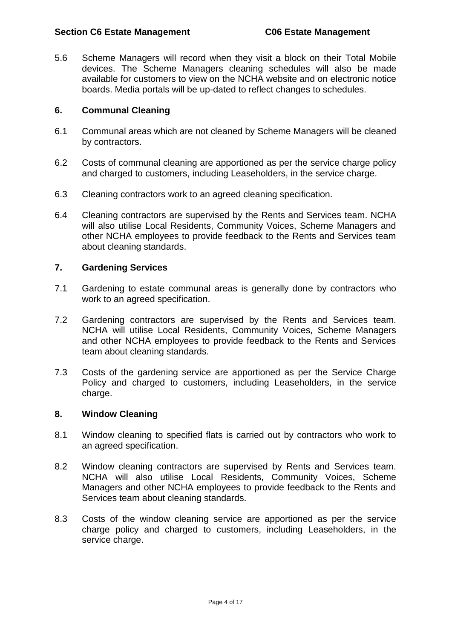5.6 Scheme Managers will record when they visit a block on their Total Mobile devices. The Scheme Managers cleaning schedules will also be made available for customers to view on the NCHA website and on electronic notice boards. Media portals will be up-dated to reflect changes to schedules.

#### **6. Communal Cleaning**

- 6.1 Communal areas which are not cleaned by Scheme Managers will be cleaned by contractors.
- 6.2 Costs of communal cleaning are apportioned as per the service charge policy and charged to customers, including Leaseholders, in the service charge.
- 6.3 Cleaning contractors work to an agreed cleaning specification.
- 6.4 Cleaning contractors are supervised by the Rents and Services team. NCHA will also utilise Local Residents, Community Voices, Scheme Managers and other NCHA employees to provide feedback to the Rents and Services team about cleaning standards.

#### **7. Gardening Services**

- 7.1 Gardening to estate communal areas is generally done by contractors who work to an agreed specification.
- 7.2 Gardening contractors are supervised by the Rents and Services team. NCHA will utilise Local Residents, Community Voices, Scheme Managers and other NCHA employees to provide feedback to the Rents and Services team about cleaning standards.
- 7.3 Costs of the gardening service are apportioned as per the Service Charge Policy and charged to customers, including Leaseholders, in the service charge.

#### **8. Window Cleaning**

- 8.1 Window cleaning to specified flats is carried out by contractors who work to an agreed specification.
- 8.2 Window cleaning contractors are supervised by Rents and Services team. NCHA will also utilise Local Residents, Community Voices, Scheme Managers and other NCHA employees to provide feedback to the Rents and Services team about cleaning standards.
- 8.3 Costs of the window cleaning service are apportioned as per the service charge policy and charged to customers, including Leaseholders, in the service charge.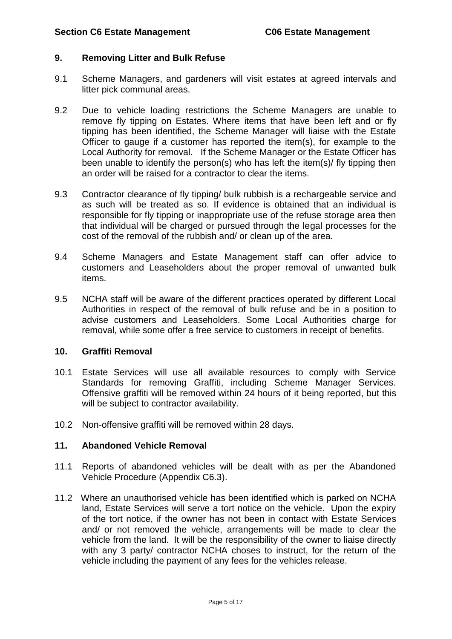#### **9. Removing Litter and Bulk Refuse**

- 9.1 Scheme Managers, and gardeners will visit estates at agreed intervals and litter pick communal areas.
- 9.2 Due to vehicle loading restrictions the Scheme Managers are unable to remove fly tipping on Estates. Where items that have been left and or fly tipping has been identified, the Scheme Manager will liaise with the Estate Officer to gauge if a customer has reported the item(s), for example to the Local Authority for removal. If the Scheme Manager or the Estate Officer has been unable to identify the person(s) who has left the item(s)/ fly tipping then an order will be raised for a contractor to clear the items.
- 9.3 Contractor clearance of fly tipping/ bulk rubbish is a rechargeable service and as such will be treated as so. If evidence is obtained that an individual is responsible for fly tipping or inappropriate use of the refuse storage area then that individual will be charged or pursued through the legal processes for the cost of the removal of the rubbish and/ or clean up of the area.
- 9.4 Scheme Managers and Estate Management staff can offer advice to customers and Leaseholders about the proper removal of unwanted bulk items.
- 9.5 NCHA staff will be aware of the different practices operated by different Local Authorities in respect of the removal of bulk refuse and be in a position to advise customers and Leaseholders. Some Local Authorities charge for removal, while some offer a free service to customers in receipt of benefits.

#### **10. Graffiti Removal**

- 10.1 Estate Services will use all available resources to comply with Service Standards for removing Graffiti, including Scheme Manager Services. Offensive graffiti will be removed within 24 hours of it being reported, but this will be subject to contractor availability.
- 10.2 Non-offensive graffiti will be removed within 28 days.

#### **11. Abandoned Vehicle Removal**

- 11.1 Reports of abandoned vehicles will be dealt with as per the Abandoned Vehicle Procedure (Appendix C6.3).
- 11.2 Where an unauthorised vehicle has been identified which is parked on NCHA land, Estate Services will serve a tort notice on the vehicle. Upon the expiry of the tort notice, if the owner has not been in contact with Estate Services and/ or not removed the vehicle, arrangements will be made to clear the vehicle from the land. It will be the responsibility of the owner to liaise directly with any 3 party/ contractor NCHA choses to instruct, for the return of the vehicle including the payment of any fees for the vehicles release.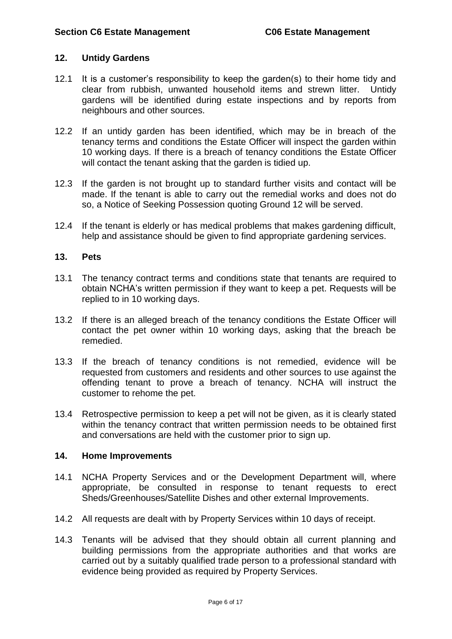#### **12. Untidy Gardens**

- 12.1 It is a customer's responsibility to keep the garden(s) to their home tidy and clear from rubbish, unwanted household items and strewn litter. Untidy gardens will be identified during estate inspections and by reports from neighbours and other sources.
- 12.2 If an untidy garden has been identified, which may be in breach of the tenancy terms and conditions the Estate Officer will inspect the garden within 10 working days. If there is a breach of tenancy conditions the Estate Officer will contact the tenant asking that the garden is tidied up.
- 12.3 If the garden is not brought up to standard further visits and contact will be made. If the tenant is able to carry out the remedial works and does not do so, a Notice of Seeking Possession quoting Ground 12 will be served.
- 12.4 If the tenant is elderly or has medical problems that makes gardening difficult, help and assistance should be given to find appropriate gardening services.

#### **13. Pets**

- 13.1 The tenancy contract terms and conditions state that tenants are required to obtain NCHA's written permission if they want to keep a pet. Requests will be replied to in 10 working days.
- 13.2 If there is an alleged breach of the tenancy conditions the Estate Officer will contact the pet owner within 10 working days, asking that the breach be remedied.
- 13.3 If the breach of tenancy conditions is not remedied, evidence will be requested from customers and residents and other sources to use against the offending tenant to prove a breach of tenancy. NCHA will instruct the customer to rehome the pet.
- 13.4 Retrospective permission to keep a pet will not be given, as it is clearly stated within the tenancy contract that written permission needs to be obtained first and conversations are held with the customer prior to sign up.

#### **14. Home Improvements**

- 14.1 NCHA Property Services and or the Development Department will, where appropriate, be consulted in response to tenant requests to erect Sheds/Greenhouses/Satellite Dishes and other external Improvements.
- 14.2 All requests are dealt with by Property Services within 10 days of receipt.
- 14.3 Tenants will be advised that they should obtain all current planning and building permissions from the appropriate authorities and that works are carried out by a suitably qualified trade person to a professional standard with evidence being provided as required by Property Services.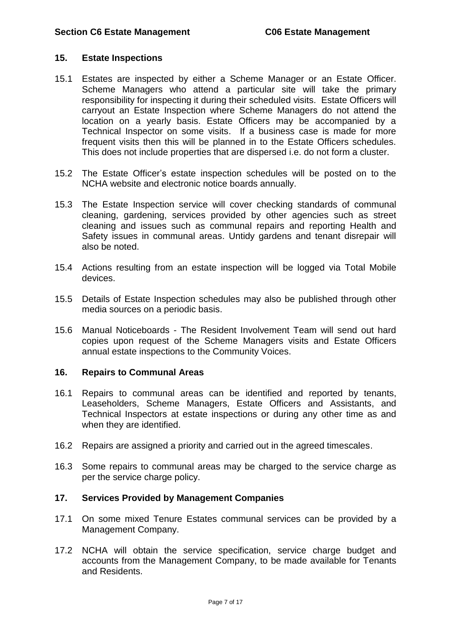#### **15. Estate Inspections**

- 15.1 Estates are inspected by either a Scheme Manager or an Estate Officer. Scheme Managers who attend a particular site will take the primary responsibility for inspecting it during their scheduled visits. Estate Officers will carryout an Estate Inspection where Scheme Managers do not attend the location on a yearly basis. Estate Officers may be accompanied by a Technical Inspector on some visits. If a business case is made for more frequent visits then this will be planned in to the Estate Officers schedules. This does not include properties that are dispersed i.e. do not form a cluster.
- 15.2 The Estate Officer's estate inspection schedules will be posted on to the NCHA website and electronic notice boards annually.
- 15.3 The Estate Inspection service will cover checking standards of communal cleaning, gardening, services provided by other agencies such as street cleaning and issues such as communal repairs and reporting Health and Safety issues in communal areas. Untidy gardens and tenant disrepair will also be noted.
- 15.4 Actions resulting from an estate inspection will be logged via Total Mobile devices.
- 15.5 Details of Estate Inspection schedules may also be published through other media sources on a periodic basis.
- 15.6 Manual Noticeboards The Resident Involvement Team will send out hard copies upon request of the Scheme Managers visits and Estate Officers annual estate inspections to the Community Voices.

#### **16. Repairs to Communal Areas**

- 16.1 Repairs to communal areas can be identified and reported by tenants, Leaseholders, Scheme Managers, Estate Officers and Assistants, and Technical Inspectors at estate inspections or during any other time as and when they are identified.
- 16.2 Repairs are assigned a priority and carried out in the agreed timescales.
- 16.3 Some repairs to communal areas may be charged to the service charge as per the service charge policy.

#### **17. Services Provided by Management Companies**

- 17.1 On some mixed Tenure Estates communal services can be provided by a Management Company.
- 17.2 NCHA will obtain the service specification, service charge budget and accounts from the Management Company, to be made available for Tenants and Residents.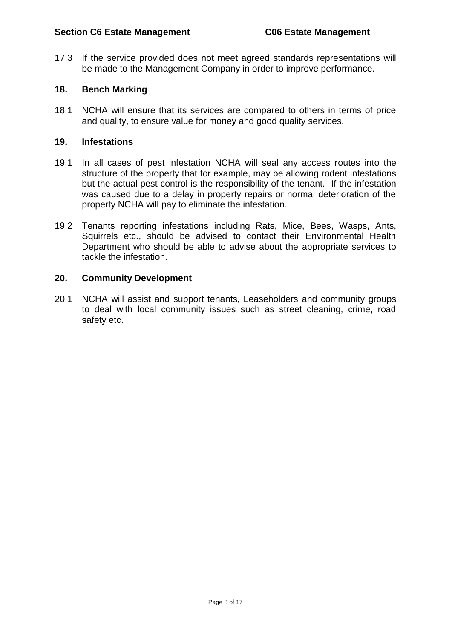17.3 If the service provided does not meet agreed standards representations will be made to the Management Company in order to improve performance.

#### **18. Bench Marking**

18.1 NCHA will ensure that its services are compared to others in terms of price and quality, to ensure value for money and good quality services.

#### **19. Infestations**

- 19.1 In all cases of pest infestation NCHA will seal any access routes into the structure of the property that for example, may be allowing rodent infestations but the actual pest control is the responsibility of the tenant. If the infestation was caused due to a delay in property repairs or normal deterioration of the property NCHA will pay to eliminate the infestation.
- 19.2 Tenants reporting infestations including Rats, Mice, Bees, Wasps, Ants, Squirrels etc., should be advised to contact their Environmental Health Department who should be able to advise about the appropriate services to tackle the infestation.

#### **20. Community Development**

20.1 NCHA will assist and support tenants, Leaseholders and community groups to deal with local community issues such as street cleaning, crime, road safety etc.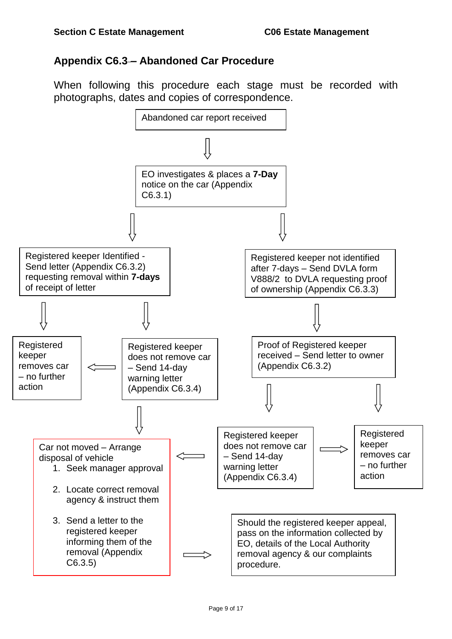# <span id="page-8-0"></span>**Appendix C6.3 – Abandoned Car Procedure**

When following this procedure each stage must be recorded with photographs, dates and copies of correspondence.

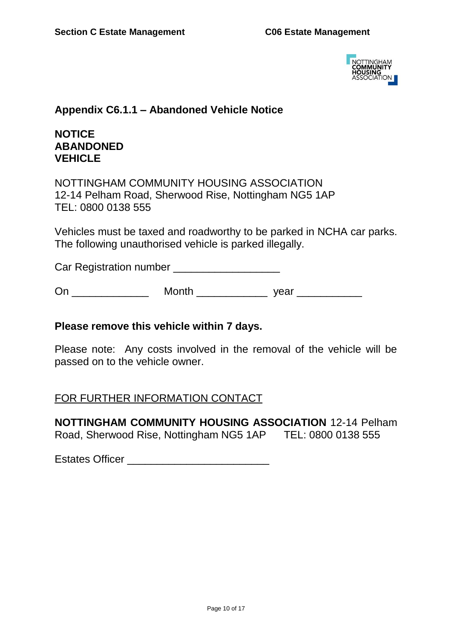

# <span id="page-9-0"></span>**Appendix C6.1.1 – Abandoned Vehicle Notice**

# **NOTICE ABANDONED VEHICLE**

NOTTINGHAM COMMUNITY HOUSING ASSOCIATION 12-14 Pelham Road, Sherwood Rise, Nottingham NG5 1AP TEL: 0800 0138 555

Vehicles must be taxed and roadworthy to be parked in NCHA car parks. The following unauthorised vehicle is parked illegally.

Car Registration number \_\_\_\_\_\_\_\_\_\_\_\_\_\_\_\_\_\_

On \_\_\_\_\_\_\_\_\_\_\_\_\_ Month \_\_\_\_\_\_\_\_\_\_\_\_ year \_\_\_\_\_\_\_\_\_\_\_

## **Please remove this vehicle within 7 days.**

Please note: Any costs involved in the removal of the vehicle will be passed on to the vehicle owner.

## FOR FURTHER INFORMATION CONTACT

**NOTTINGHAM COMMUNITY HOUSING ASSOCIATION** 12-14 Pelham Road, Sherwood Rise, Nottingham NG5 1AP TEL: 0800 0138 555

Estates Officer \_\_\_\_\_\_\_\_\_\_\_\_\_\_\_\_\_\_\_\_\_\_\_\_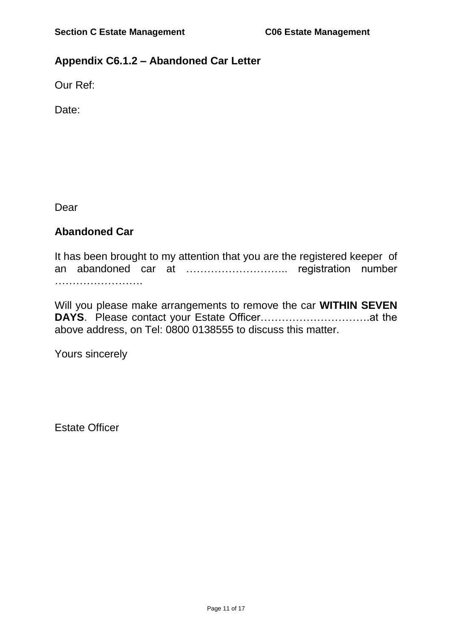# **Appendix C6.1.2 – Abandoned Car Letter**

Our Ref:

Date:

Dear

# **Abandoned Car**

It has been brought to my attention that you are the registered keeper of an abandoned car at ……………………….. registration number …………………….

Will you please make arrangements to remove the car **WITHIN SEVEN DAYS**. Please contact your Estate Officer………………………….at the above address, on Tel: 0800 0138555 to discuss this matter.

Yours sincerely

Estate Officer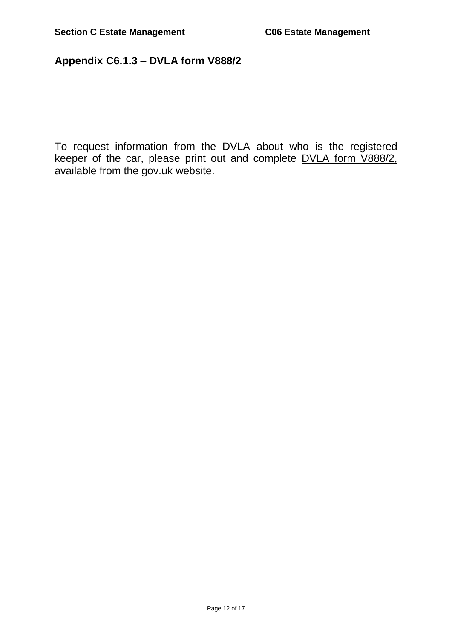# <span id="page-11-0"></span>**Appendix C6.1.3 – DVLA form V888/2**

To request information from the DVLA about who is the registered keeper of the car, please print out and complete DVLA form V888/2, [available from the gov.uk website.](https://www.gov.uk/government/uploads/system/uploads/attachment_data/file/206701/V888x2.pdf)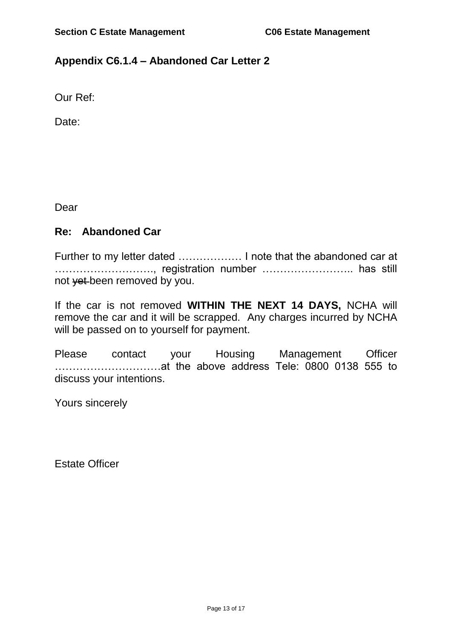# <span id="page-12-0"></span>**Appendix C6.1.4 – Abandoned Car Letter 2**

Our Ref:

Date:

Dear

## **Re: Abandoned Car**

Further to my letter dated ……………… I note that the abandoned car at ………………………., registration number …………………….. has still not yet been removed by you.

If the car is not removed **WITHIN THE NEXT 14 DAYS,** NCHA will remove the car and it will be scrapped. Any charges incurred by NCHA will be passed on to yourself for payment.

Please contact your Housing Management Officer …………………………at the above address Tele: 0800 0138 555 to discuss your intentions.

Yours sincerely

Estate Officer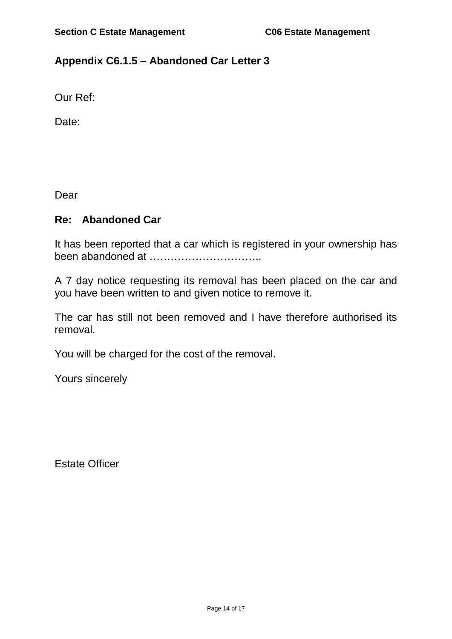# <span id="page-13-0"></span>**Appendix C6.1.5 – Abandoned Car Letter 3**

Our Ref:

Date:

Dear

### **Re: Abandoned Car**

It has been reported that a car which is registered in your ownership has been abandoned at …………………………..

A 7 day notice requesting its removal has been placed on the car and you have been written to and given notice to remove it.

The car has still not been removed and I have therefore authorised its removal.

You will be charged for the cost of the removal.

Yours sincerely

Estate Officer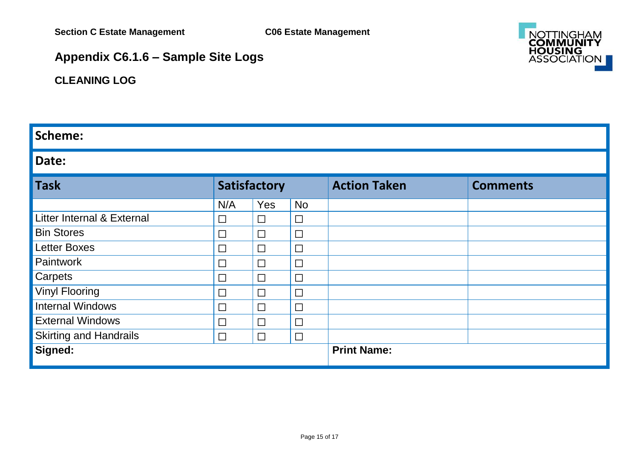

# **Appendix C6.1.6 – Sample Site Logs**

# **CLEANING LOG**

# **Scheme:**

# **Date:**

<span id="page-14-0"></span>

| <b>Task</b>                   | Satisfactory             |        |                    | <b>Action Taken</b> | <b>Comments</b> |
|-------------------------------|--------------------------|--------|--------------------|---------------------|-----------------|
|                               | N/A                      | Yes    | <b>No</b>          |                     |                 |
| Litter Internal & External    | $\overline{\phantom{a}}$ | $\Box$ | $\Box$             |                     |                 |
| <b>Bin Stores</b>             | $\overline{\phantom{a}}$ | $\Box$ | $\Box$             |                     |                 |
| <b>Letter Boxes</b>           | $\Box$                   | $\Box$ | $\Box$             |                     |                 |
| Paintwork                     | $\Box$                   | $\Box$ | $\Box$             |                     |                 |
| Carpets                       | $\Box$                   | $\Box$ | $\Box$             |                     |                 |
| <b>Vinyl Flooring</b>         | $\Box$                   | $\Box$ | $\Box$             |                     |                 |
| <b>Internal Windows</b>       | $\Box$                   | $\Box$ | $\Box$             |                     |                 |
| <b>External Windows</b>       | $\Box$                   | $\Box$ | $\Box$             |                     |                 |
| <b>Skirting and Handrails</b> | $\Box$                   | $\Box$ | $\Box$             |                     |                 |
| Signed:                       |                          |        | <b>Print Name:</b> |                     |                 |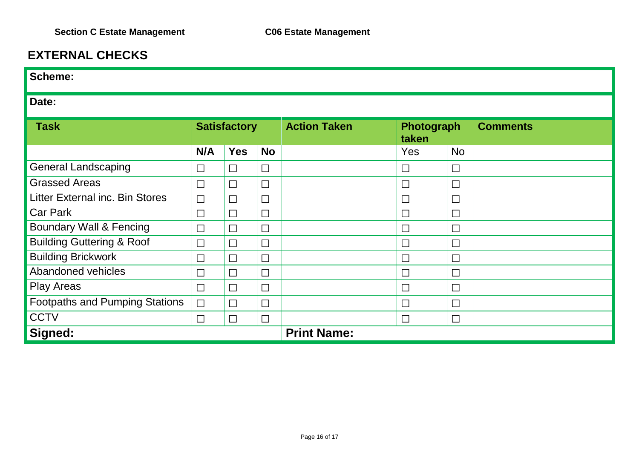# **EXTERNAL CHECKS**

| Scheme:                                |                     |            |           |                     |                     |           |                 |  |  |
|----------------------------------------|---------------------|------------|-----------|---------------------|---------------------|-----------|-----------------|--|--|
| Date:                                  |                     |            |           |                     |                     |           |                 |  |  |
| <b>Task</b>                            | <b>Satisfactory</b> |            |           | <b>Action Taken</b> | Photograph<br>taken |           | <b>Comments</b> |  |  |
|                                        | N/A                 | <b>Yes</b> | <b>No</b> |                     | Yes                 | <b>No</b> |                 |  |  |
| <b>General Landscaping</b>             | $\Box$              | $\Box$     | $\Box$    |                     | $\Box$              | $\Box$    |                 |  |  |
| <b>Grassed Areas</b>                   | $\Box$              | $\Box$     | $\Box$    |                     | $\Box$              | $\Box$    |                 |  |  |
| <b>Litter External inc. Bin Stores</b> | $\Box$              | $\Box$     | $\Box$    |                     | $\Box$              | $\Box$    |                 |  |  |
| <b>Car Park</b>                        | $\Box$              | $\Box$     | $\Box$    |                     | $\Box$              | $\Box$    |                 |  |  |
| <b>Boundary Wall &amp; Fencing</b>     | $\Box$              | $\Box$     | $\Box$    |                     | $\Box$              | $\Box$    |                 |  |  |
| <b>Building Guttering &amp; Roof</b>   | $\Box$              | $\Box$     | $\Box$    |                     | $\Box$              | $\Box$    |                 |  |  |
| <b>Building Brickwork</b>              | $\Box$              | $\Box$     | $\Box$    |                     | $\Box$              | $\Box$    |                 |  |  |
| Abandoned vehicles                     | $\Box$              | $\Box$     | $\Box$    |                     | $\Box$              | $\Box$    |                 |  |  |
| <b>Play Areas</b>                      | $\Box$              | $\Box$     | $\Box$    |                     | $\Box$              | $\Box$    |                 |  |  |
| <b>Footpaths and Pumping Stations</b>  | $\Box$              | $\Box$     | $\Box$    |                     | $\Box$              | $\Box$    |                 |  |  |
| <b>CCTV</b>                            | $\Box$              | $\Box$     | $\Box$    |                     | $\Box$              | $\Box$    |                 |  |  |
| Signed:                                |                     |            |           | <b>Print Name:</b>  |                     |           |                 |  |  |